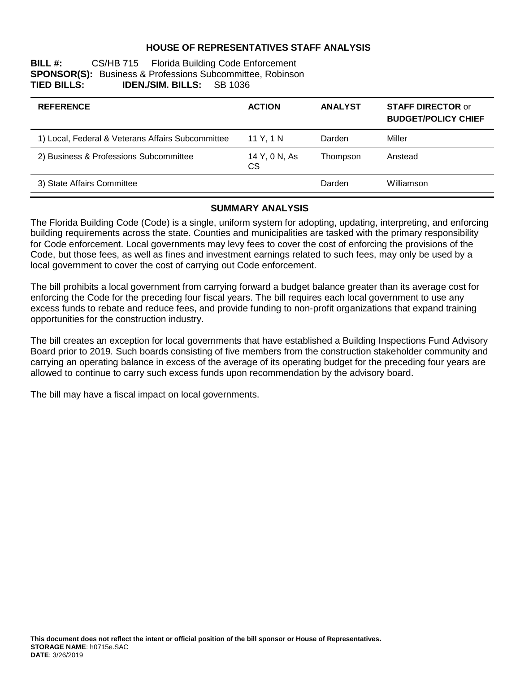# **HOUSE OF REPRESENTATIVES STAFF ANALYSIS**

| BILL#:             |                                  | CS/HB 715 Florida Building Code Enforcement                      |  |
|--------------------|----------------------------------|------------------------------------------------------------------|--|
|                    |                                  | <b>SPONSOR(S):</b> Business & Professions Subcommittee, Robinson |  |
| <b>TIED BILLS:</b> | <b>IDEN./SIM. BILLS:</b> SB 1036 |                                                                  |  |

| <b>REFERENCE</b>                                  | <b>ACTION</b>       | <b>ANALYST</b> | <b>STAFF DIRECTOR or</b><br><b>BUDGET/POLICY CHIEF</b> |
|---------------------------------------------------|---------------------|----------------|--------------------------------------------------------|
| 1) Local, Federal & Veterans Affairs Subcommittee | 11 Y. 1 N           | Darden         | Miller                                                 |
| 2) Business & Professions Subcommittee            | 14 Y, 0 N, As<br>CS | Thompson       | Anstead                                                |
| 3) State Affairs Committee                        |                     | Darden         | Williamson                                             |

#### **SUMMARY ANALYSIS**

The Florida Building Code (Code) is a single, uniform system for adopting, updating, interpreting, and enforcing building requirements across the state. Counties and municipalities are tasked with the primary responsibility for Code enforcement. Local governments may levy fees to cover the cost of enforcing the provisions of the Code, but those fees, as well as fines and investment earnings related to such fees, may only be used by a local government to cover the cost of carrying out Code enforcement.

The bill prohibits a local government from carrying forward a budget balance greater than its average cost for enforcing the Code for the preceding four fiscal years. The bill requires each local government to use any excess funds to rebate and reduce fees, and provide funding to non-profit organizations that expand training opportunities for the construction industry.

The bill creates an exception for local governments that have established a Building Inspections Fund Advisory Board prior to 2019. Such boards consisting of five members from the construction stakeholder community and carrying an operating balance in excess of the average of its operating budget for the preceding four years are allowed to continue to carry such excess funds upon recommendation by the advisory board.

The bill may have a fiscal impact on local governments.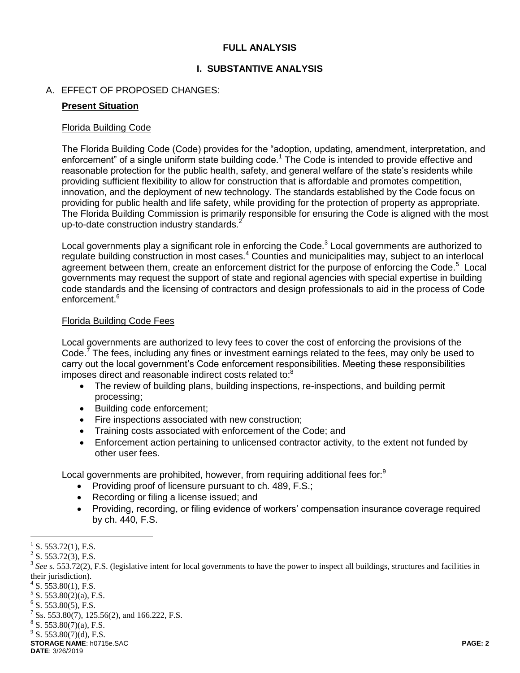# **FULL ANALYSIS**

# **I. SUBSTANTIVE ANALYSIS**

# A. EFFECT OF PROPOSED CHANGES:

#### **Present Situation**

#### Florida Building Code

The Florida Building Code (Code) provides for the "adoption, updating, amendment, interpretation, and enforcement" of a single uniform state building code.<sup>1</sup> The Code is intended to provide effective and reasonable protection for the public health, safety, and general welfare of the state's residents while providing sufficient flexibility to allow for construction that is affordable and promotes competition, innovation, and the deployment of new technology. The standards established by the Code focus on providing for public health and life safety, while providing for the protection of property as appropriate. The Florida Building Commission is primarily responsible for ensuring the Code is aligned with the most up-to-date construction industry standards.<sup>2</sup>

Local governments play a significant role in enforcing the Code. $3$  Local governments are authorized to regulate building construction in most cases.<sup>4</sup> Counties and municipalities may, subject to an interlocal agreement between them, create an enforcement district for the purpose of enforcing the Code.<sup>5</sup> Local governments may request the support of state and regional agencies with special expertise in building code standards and the licensing of contractors and design professionals to aid in the process of Code enforcement.<sup>6</sup>

#### Florida Building Code Fees

Local governments are authorized to levy fees to cover the cost of enforcing the provisions of the Code.<sup>7</sup> The fees, including any fines or investment earnings related to the fees, may only be used to carry out the local government's Code enforcement responsibilities. Meeting these responsibilities imposes direct and reasonable indirect costs related to:<sup>8</sup>

- The review of building plans, building inspections, re-inspections, and building permit processing;
- Building code enforcement;
- Fire inspections associated with new construction;
- Training costs associated with enforcement of the Code: and
- Enforcement action pertaining to unlicensed contractor activity, to the extent not funded by other user fees.

Local governments are prohibited, however, from requiring additional fees for:<sup>9</sup>

- Providing proof of licensure pursuant to ch. 489, F.S.;
- Recording or filing a license issued; and
- Providing, recording, or filing evidence of workers' compensation insurance coverage required by ch. 440, F.S.

 $5$  S. 553.80(2)(a), F.S.

 $\overline{a}$ 1 S. 553.72(1), F.S.

 $2^2$  S. 553.72(3), F.S.

<sup>&</sup>lt;sup>3</sup> See s. 553.72(2), F.S. (legislative intent for local governments to have the power to inspect all buildings, structures and facilities in their jurisdiction).

 $4$  S. 553.80(1), F.S.

 $6$  S. 553.80(5), F.S.

<sup>7</sup> Ss. 553.80(7), 125.56(2), and 166.222, F.S.

 $8$  S. 553.80(7)(a), F.S.

 $9^9$  S. 553.80(7)(d), F.S.

**STORAGE NAME**: h0715e.SAC **PAGE: 2 DATE**: 3/26/2019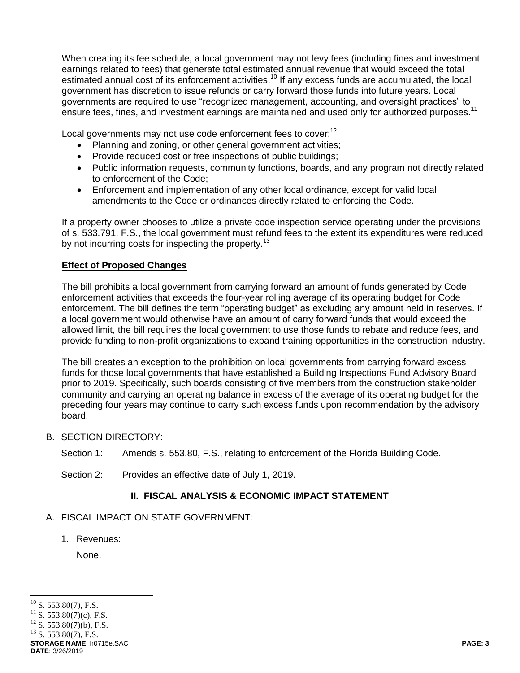When creating its fee schedule, a local government may not levy fees (including fines and investment earnings related to fees) that generate total estimated annual revenue that would exceed the total estimated annual cost of its enforcement activities.<sup>10</sup> If any excess funds are accumulated, the local government has discretion to issue refunds or carry forward those funds into future years. Local governments are required to use "recognized management, accounting, and oversight practices" to ensure fees, fines, and investment earnings are maintained and used only for authorized purposes.<sup>11</sup>

Local governments may not use code enforcement fees to cover:<sup>12</sup>

- Planning and zoning, or other general government activities;
- Provide reduced cost or free inspections of public buildings;
- Public information requests, community functions, boards, and any program not directly related to enforcement of the Code;
- Enforcement and implementation of any other local ordinance, except for valid local amendments to the Code or ordinances directly related to enforcing the Code.

If a property owner chooses to utilize a private code inspection service operating under the provisions of s. 533.791, F.S., the local government must refund fees to the extent its expenditures were reduced by not incurring costs for inspecting the property.<sup>13</sup>

# **Effect of Proposed Changes**

The bill prohibits a local government from carrying forward an amount of funds generated by Code enforcement activities that exceeds the four-year rolling average of its operating budget for Code enforcement. The bill defines the term "operating budget" as excluding any amount held in reserves. If a local government would otherwise have an amount of carry forward funds that would exceed the allowed limit, the bill requires the local government to use those funds to rebate and reduce fees, and provide funding to non-profit organizations to expand training opportunities in the construction industry.

The bill creates an exception to the prohibition on local governments from carrying forward excess funds for those local governments that have established a Building Inspections Fund Advisory Board prior to 2019. Specifically, such boards consisting of five members from the construction stakeholder community and carrying an operating balance in excess of the average of its operating budget for the preceding four years may continue to carry such excess funds upon recommendation by the advisory board.

- B. SECTION DIRECTORY:
	- Section 1: Amends s. 553.80, F.S., relating to enforcement of the Florida Building Code.
	- Section 2: Provides an effective date of July 1, 2019.

# **II. FISCAL ANALYSIS & ECONOMIC IMPACT STATEMENT**

# A. FISCAL IMPACT ON STATE GOVERNMENT:

1. Revenues:

None.

 $\overline{a}$  $^{10}$  S. 553.80(7), F.S.

<sup>&</sup>lt;sup>11</sup> S. 553.80(7)(c), F.S.<br><sup>12</sup> S. 552.80(7)(b), E.S.

S.  $553.80(7)(b)$ , F.S.

 $^{13}$  S. 553.80(7), F.S.